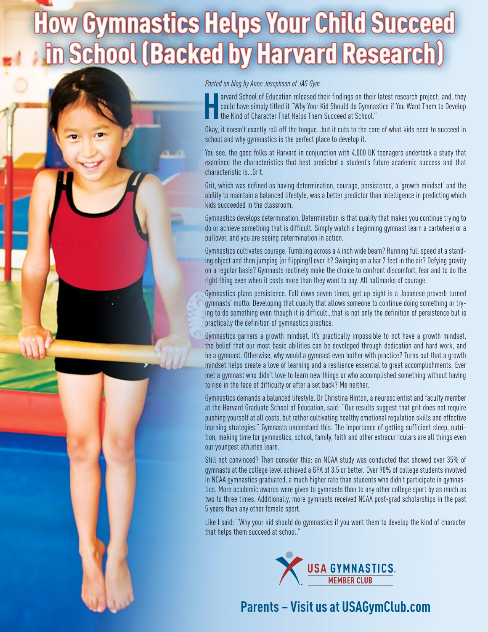## How Gymnastics Helps Your Child Succeed School (Backed by Harvard Research)





**H** arvard School of Education released their findings on their latest research project; and, they could have simply titled it "Why Your Kid Should do Gymnastics if You Want Them to Develop the Kind of Character That Helps Them Succeed at School."

Okay, it doesn't exactly roll off the tongue…but it cuts to the core of what kids need to succeed in school and why gymnastics is the perfect place to develop it.

You see, the good folks at Harvard in conjunction with 4,000 UK teenagers undertook a study that examined the characteristics that best predicted a student's future academic success and that characteristic is…Grit.

Grit, which was defined as having determination, courage, persistence, a 'growth mindset' and the ability to maintain a balanced lifestyle, was a better predictor than intelligence in predicting which kids succeeded in the classroom.

Gymnastics develops determination. Determination is that quality that makes you continue trying to do or achieve something that is difficult. Simply watch a beginning gymnast learn a cartwheel or a pullover, and you are seeing determination in action.

Gymnastics cultivates courage. Tumbling across a 4 inch wide beam? Running full speed at a standing object and then jumping (or flipping!) over it? Swinging on a bar 7 feet in the air? Defying gravity on a regular basis? Gymnasts routinely make the choice to confront discomfort, fear and to do the right thing even when it costs more than they want to pay. All hallmarks of courage.

Gymnastics plans persistence. Fall down seven times, get up eight is a Japanese proverb turned gymnasts' motto. Developing that quality that allows someone to continue doing something or trying to do something even though it is difficult…that is not only the definition of persistence but is practically the definition of gymnastics practice.

Gymnastics garners a growth mindset. It's practically impossible to not have a growth mindset, the belief that our most basic abilities can be developed through dedication and hard work, and be a gymnast. Otherwise, why would a gymnast even bother with practice? Turns out that a growth mindset helps create a love of learning and a resilience essential to great accomplishments. Ever met a gymnast who didn't love to learn new things or who accomplished something without having to rise in the face of difficulty or after a set back? Me neither.

Gymnastics demands a balanced lifestyle. Dr Christina Hinton, a neuroscientist and faculty member at the Harvard Graduate School of Education, said: "Our results suggest that grit does not require pushing yourself at all costs, but rather cultivating healthy emotional regulation skills and effective learning strategies." Gymnasts understand this. The importance of getting sufficient sleep, nutrition, making time for gymnastics, school, family, faith and other extracurriculars are all things even our youngest athletes learn.

Still not convinced? Then consider this: an NCAA study was conducted that showed over 35% of gymnasts at the college level achieved a GPA of 3.5 or better. Over 90% of college students involved in NCAA gymnastics graduated, a much higher rate than students who didn't participate in gymnastics. More academic awards were given to gymnasts than to any other college sport by as much as two to three times. Additionally, more gymnasts received NCAA post-grad scholarships in the past 5 years than any other female sport.

Like I said: "Why your kid should do gymnastics if you want them to develop the kind of character that helps them succeed at school."



## **Parents – Visit us at USAGymClub.com**